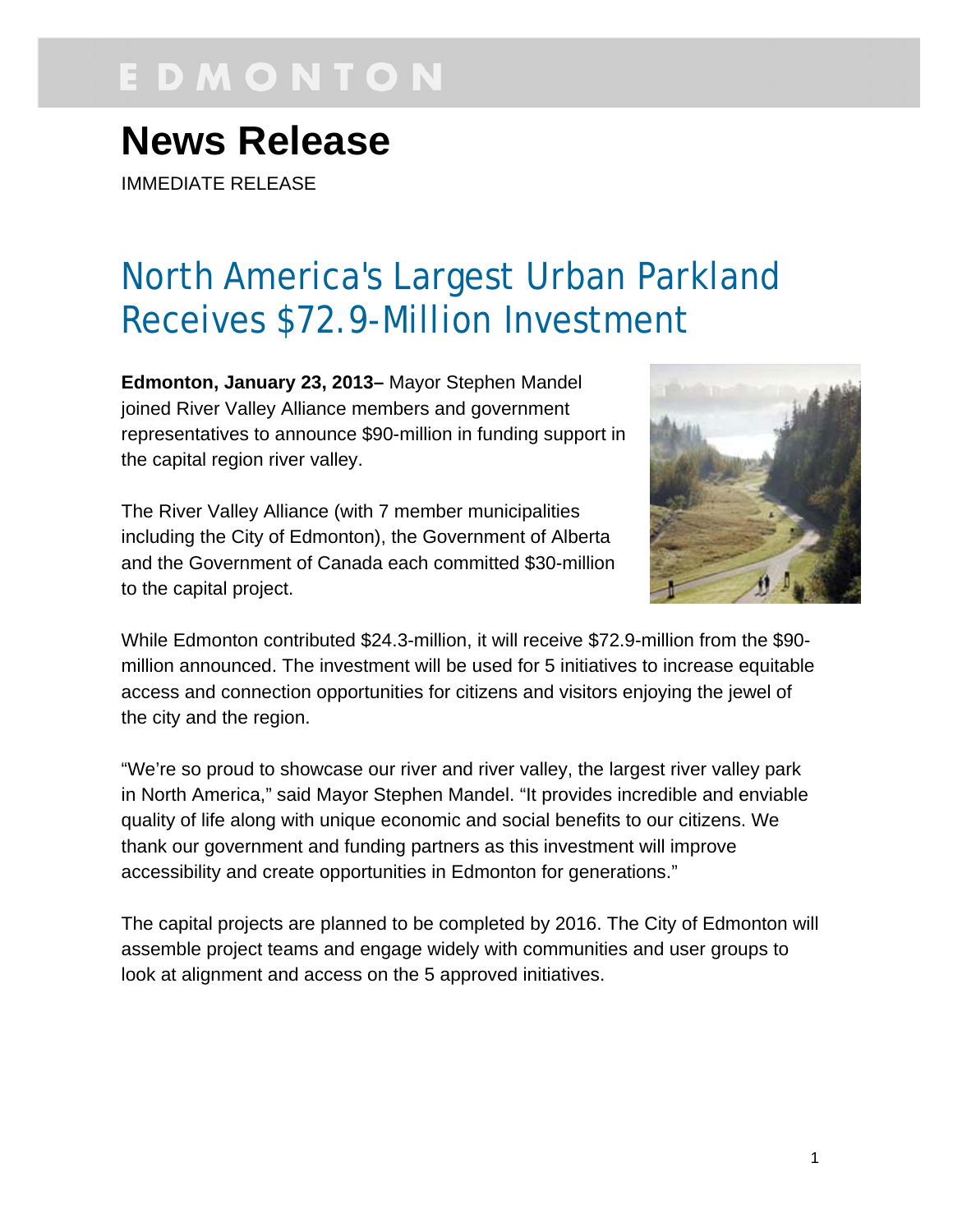# EDMONTON

## **News Release**

IMMEDIATE RELEASE

### North America's Largest Urban Parkland Receives \$72.9-Million Investment

**Edmonton, January 23, 2013–** Mayor Stephen Mandel joined River Valley Alliance members and government representatives to announce \$90-million in funding support in the capital region river valley.

The River Valley Alliance (with 7 member municipalities including the City of Edmonton), the Government of Alberta and the Government of Canada each committed \$30-million to the capital project.



While Edmonton contributed \$24.3-million, it will receive \$72.9-million from the \$90 million announced. The investment will be used for 5 initiatives to increase equitable access and connection opportunities for citizens and visitors enjoying the jewel of the city and the region.

"We're so proud to showcase our river and river valley, the largest river valley park in North America," said Mayor Stephen Mandel. "It provides incredible and enviable quality of life along with unique economic and social benefits to our citizens. We thank our government and funding partners as this investment will improve accessibility and create opportunities in Edmonton for generations."

The capital projects are planned to be completed by 2016. The City of Edmonton will assemble project teams and engage widely with communities and user groups to look at alignment and access on the 5 approved initiatives.